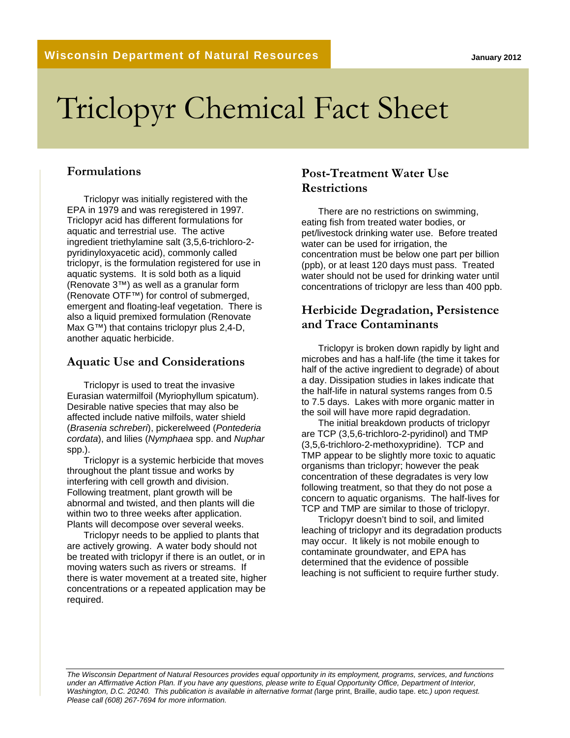# Triclopyr Chemical Fact Sheet

#### **Formulations**

Triclopyr was initially registered with the EPA in 1979 and was reregistered in 1997. Triclopyr acid has different formulations for aquatic and terrestrial use. The active ingredient triethylamine salt (3,5,6-trichloro-2 pyridinyloxyacetic acid), commonly called triclopyr, is the formulation registered for use in aquatic systems. It is sold both as a liquid (Renovate 3™) as well as a granular form (Renovate OTF™) for control of submerged, emergent and floating-leaf vegetation. There is also a liquid premixed formulation (Renovate Max G™) that contains triclopyr plus 2,4-D, another aquatic herbicide.

#### **Aquatic Use and Considerations**

Triclopyr is used to treat the invasive Eurasian watermilfoil (Myriophyllum spicatum). Desirable native species that may also be affected include native milfoils, water shield (*Brasenia schreberi*), pickerelweed (*Pontederia cordata*), and lilies (*Nymphaea* spp. and *Nuphar* spp.).

Triclopyr is a systemic herbicide that moves throughout the plant tissue and works by interfering with cell growth and division. Following treatment, plant growth will be abnormal and twisted, and then plants will die within two to three weeks after application. Plants will decompose over several weeks.

Triclopyr needs to be applied to plants that are actively growing. A water body should not be treated with triclopyr if there is an outlet, or in moving waters such as rivers or streams. If there is water movement at a treated site, higher concentrations or a repeated application may be required.

### **Post-Treatment Water Use Restrictions**

There are no restrictions on swimming, eating fish from treated water bodies, or pet/livestock drinking water use. Before treated water can be used for irrigation, the concentration must be below one part per billion (ppb), or at least 120 days must pass. Treated water should not be used for drinking water until concentrations of triclopyr are less than 400 ppb.

#### **Herbicide Degradation, Persistence and Trace Contaminants**

Triclopyr is broken down rapidly by light and microbes and has a half-life (the time it takes for half of the active ingredient to degrade) of about a day. Dissipation studies in lakes indicate that the half-life in natural systems ranges from 0.5 to 7.5 days. Lakes with more organic matter in the soil will have more rapid degradation.

The initial breakdown products of triclopyr are TCP (3,5,6-trichloro-2-pyridinol) and TMP (3,5,6-trichloro-2-methoxypridine). TCP and TMP appear to be slightly more toxic to aquatic organisms than triclopyr; however the peak concentration of these degradates is very low following treatment, so that they do not pose a concern to aquatic organisms. The half-lives for TCP and TMP are similar to those of triclopyr.

Triclopyr doesn't bind to soil, and limited leaching of triclopyr and its degradation products may occur. It likely is not mobile enough to contaminate groundwater, and EPA has determined that the evidence of possible leaching is not sufficient to require further study.

*The Wisconsin Department of Natural Resources provides equal opportunity in its employment, programs, services, and functions under an Affirmative Action Plan. If you have any questions, please write to Equal Opportunity Office, Department of Interior, Washington, D.C. 20240. This publication is available in alternative format (*large print, Braille, audio tape. etc*.) upon request. Please call (608) 267-7694 for more information.*